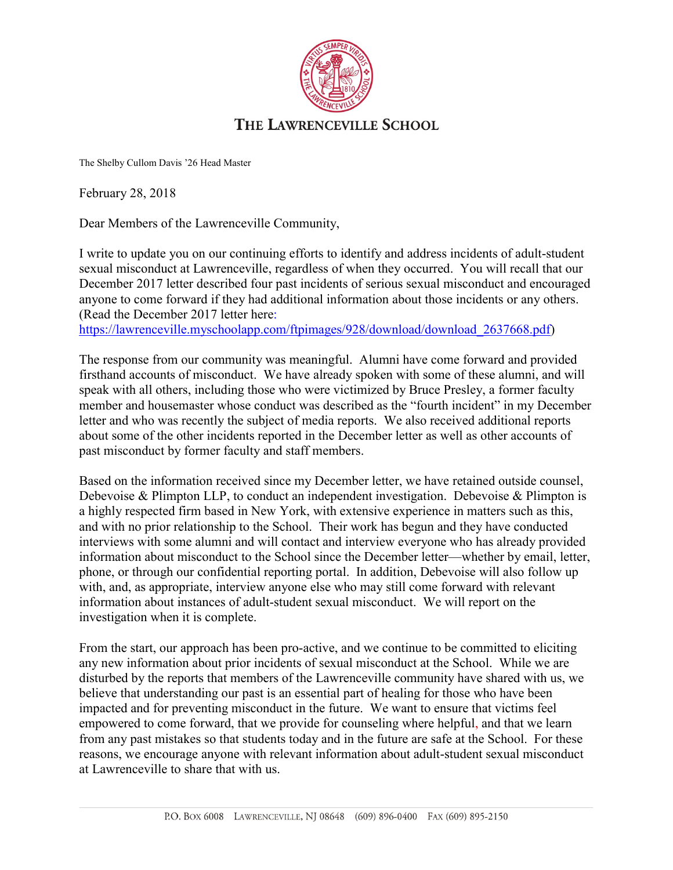

The Shelby Cullom Davis '26 Head Master

February 28, 2018

Dear Members of the Lawrenceville Community,

I write to update you on our continuing efforts to identify and address incidents of adult-student sexual misconduct at Lawrenceville, regardless of when they occurred. You will recall that our December 2017 letter described four past incidents of serious sexual misconduct and encouraged anyone to come forward if they had additional information about those incidents or any others. (Read the December 2017 letter here:

https://lawrenceville.myschoolapp.com/ftpimages/928/download/download 2637668.pdf)

The response from our community was meaningful. Alumni have come forward and provided firsthand accounts of misconduct. We have already spoken with some of these alumni, and will speak with all others, including those who were victimized by Bruce Presley, a former faculty member and housemaster whose conduct was described as the "fourth incident" in my December letter and who was recently the subject of media reports. We also received additional reports about some of the other incidents reported in the December letter as well as other accounts of past misconduct by former faculty and staff members.

Based on the information received since my December letter, we have retained outside counsel, Debevoise & Plimpton LLP, to conduct an independent investigation. Debevoise & Plimpton is a highly respected firm based in New York, with extensive experience in matters such as this, and with no prior relationship to the School. Their work has begun and they have conducted interviews with some alumni and will contact and interview everyone who has already provided information about misconduct to the School since the December letter—whether by email, letter, phone, or through our confidential reporting portal. In addition, Debevoise will also follow up with, and, as appropriate, interview anyone else who may still come forward with relevant information about instances of adult-student sexual misconduct. We will report on the investigation when it is complete.

From the start, our approach has been pro-active, and we continue to be committed to eliciting any new information about prior incidents of sexual misconduct at the School. While we are disturbed by the reports that members of the Lawrenceville community have shared with us, we believe that understanding our past is an essential part of healing for those who have been impacted and for preventing misconduct in the future. We want to ensure that victims feel empowered to come forward, that we provide for counseling where helpful, and that we learn from any past mistakes so that students today and in the future are safe at the School. For these reasons, we encourage anyone with relevant information about adult-student sexual misconduct at Lawrenceville to share that with us.